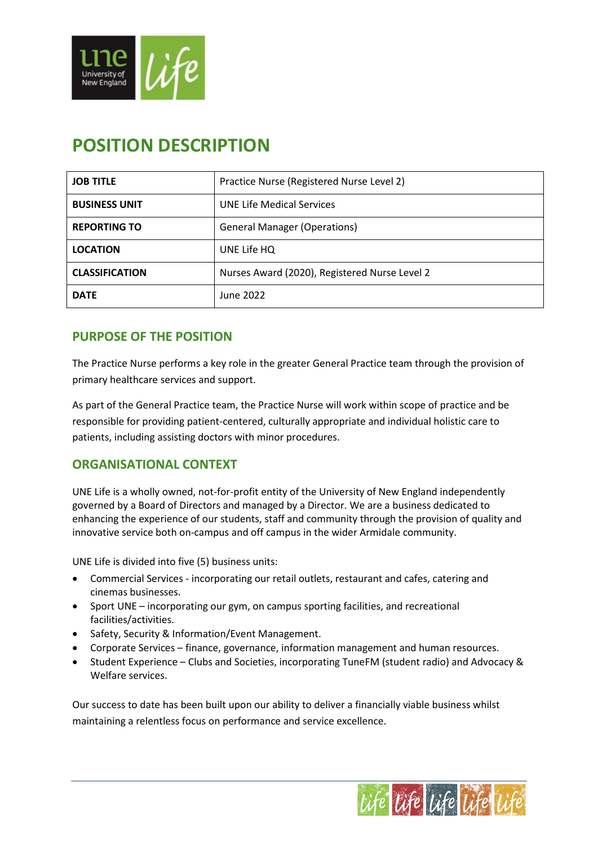

# **POSITION DESCRIPTION**

| <b>JOB TITLE</b>      | Practice Nurse (Registered Nurse Level 2)     |  |  |
|-----------------------|-----------------------------------------------|--|--|
| <b>BUSINESS UNIT</b>  | <b>UNE Life Medical Services</b>              |  |  |
| <b>REPORTING TO</b>   | <b>General Manager (Operations)</b>           |  |  |
| <b>LOCATION</b>       | UNE Life HQ                                   |  |  |
| <b>CLASSIFICATION</b> | Nurses Award (2020), Registered Nurse Level 2 |  |  |
| <b>DATE</b>           | June 2022                                     |  |  |

# **PURPOSE OF THE POSITION**

The Practice Nurse performs a key role in the greater General Practice team through the provision of primary healthcare services and support.

As part of the General Practice team, the Practice Nurse will work within scope of practice and be responsible for providing patient-centered, culturally appropriate and individual holistic care to patients, including assisting doctors with minor procedures.

# **ORGANISATIONAL CONTEXT**

UNE Life is a wholly owned, not-for-profit entity of the University of New England independently governed by a Board of Directors and managed by a Director. We are a business dedicated to enhancing the experience of our students, staff and community through the provision of quality and innovative service both on-campus and off campus in the wider Armidale community.

UNE Life is divided into five (5) business units:

- Commercial Services incorporating our retail outlets, restaurant and cafes, catering and cinemas businesses.
- Sport UNE incorporating our gym, on campus sporting facilities, and recreational facilities/activities.
- Safety, Security & Information/Event Management.
- Corporate Services finance, governance, information management and human resources.
- Student Experience Clubs and Societies, incorporating TuneFM (student radio) and Advocacy & Welfare services.

Our success to date has been built upon our ability to deliver a financially viable business whilst maintaining a relentless focus on performance and service excellence.

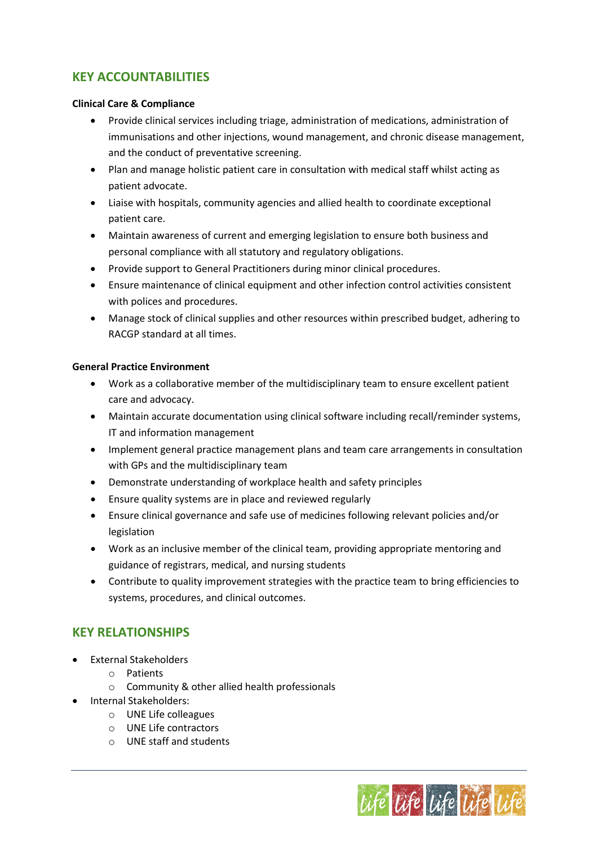# **KEY ACCOUNTABILITIES**

#### **Clinical Care & Compliance**

- Provide clinical services including triage, administration of medications, administration of immunisations and other injections, wound management, and chronic disease management, and the conduct of preventative screening.
- Plan and manage holistic patient care in consultation with medical staff whilst acting as patient advocate.
- Liaise with hospitals, community agencies and allied health to coordinate exceptional patient care.
- Maintain awareness of current and emerging legislation to ensure both business and personal compliance with all statutory and regulatory obligations.
- Provide support to General Practitioners during minor clinical procedures.
- Ensure maintenance of clinical equipment and other infection control activities consistent with polices and procedures.
- Manage stock of clinical supplies and other resources within prescribed budget, adhering to RACGP standard at all times.

#### **General Practice Environment**

- Work as a collaborative member of the multidisciplinary team to ensure excellent patient care and advocacy.
- Maintain accurate documentation using clinical software including recall/reminder systems, IT and information management
- Implement general practice management plans and team care arrangements in consultation with GPs and the multidisciplinary team
- Demonstrate understanding of workplace health and safety principles
- Ensure quality systems are in place and reviewed regularly
- Ensure clinical governance and safe use of medicines following relevant policies and/or legislation
- Work as an inclusive member of the clinical team, providing appropriate mentoring and guidance of registrars, medical, and nursing students
- Contribute to quality improvement strategies with the practice team to bring efficiencies to systems, procedures, and clinical outcomes.

# **KEY RELATIONSHIPS**

- External Stakeholders
	- o Patients
	- o Community & other allied health professionals
- Internal Stakeholders:
	- o UNE Life colleagues
	- o UNE Life contractors
	- o UNE staff and students